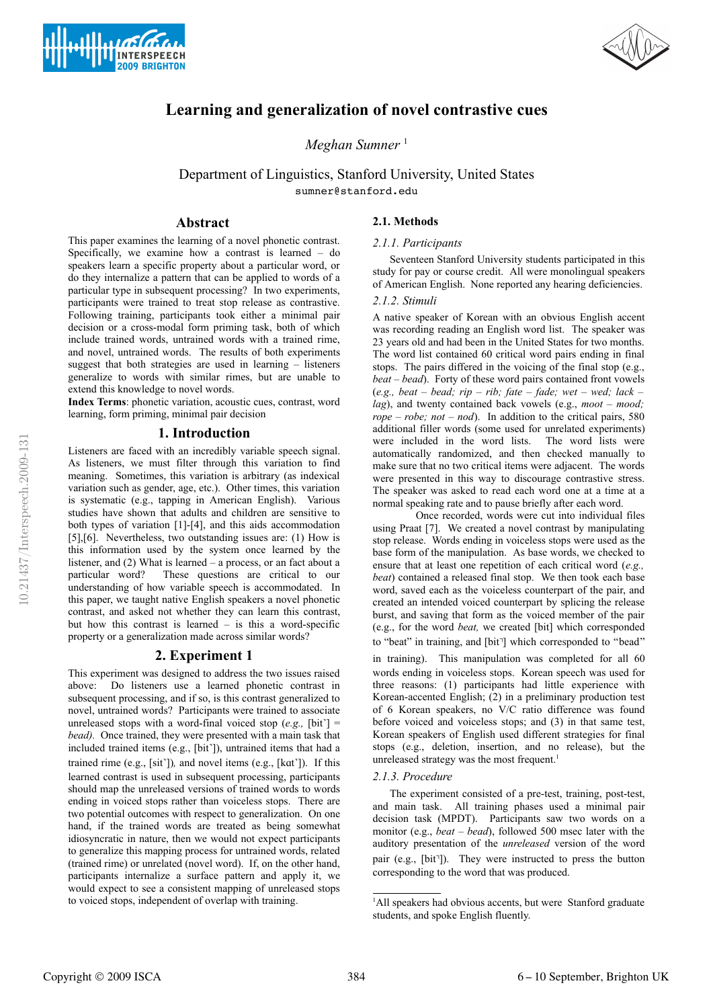



# **Learning and generalization of novel contrastive cues**

*Meghan Sumner* <sup>1</sup>

Department of Linguistics, Stanford University, United States sumner@stanford.edu

## **Abstract**

This paper examines the learning of a novel phonetic contrast. Specifically, we examine how a contrast is learned – do speakers learn a specific property about a particular word, or do they internalize a pattern that can be applied to words of a particular type in subsequent processing? In two experiments, participants were trained to treat stop release as contrastive. Following training, participants took either a minimal pair decision or a cross-modal form priming task, both of which include trained words, untrained words with a trained rime, and novel, untrained words. The results of both experiments suggest that both strategies are used in learning – listeners generalize to words with similar rimes, but are unable to extend this knowledge to novel words.

**Index Terms**: phonetic variation, acoustic cues, contrast, word learning, form priming, minimal pair decision

## **1. Introduction**

Listeners are faced with an incredibly variable speech signal. As listeners, we must filter through this variation to find meaning. Sometimes, this variation is arbitrary (as indexical variation such as gender, age, etc.). Other times, this variation is systematic (e.g., tapping in American English). Various studies have shown that adults and children are sensitive to both types of variation [1]-[4], and this aids accommodation [5],[6]. Nevertheless, two outstanding issues are: (1) How is this information used by the system once learned by the listener, and (2) What is learned – a process, or an fact about a particular word? These questions are critical to our understanding of how variable speech is accommodated. In this paper, we taught native English speakers a novel phonetic contrast, and asked not whether they can learn this contrast, but how this contrast is learned – is this a word-specific property or a generalization made across similar words?

## **2. Experiment 1**

This experiment was designed to address the two issues raised above: Do listeners use a learned phonetic contrast in subsequent processing, and if so, is this contrast generalized to novel, untrained words? Participants were trained to associate unreleased stops with a word-final voiced stop  $(e.g.,$  [bit]  $=$ *bead).* Once trained, they were presented with a main task that included trained items (e.g., [bit˺]), untrained items that had a trained rime (e.g., [sit˺])*,* and novel items (e.g., [kɑt˺]). If this learned contrast is used in subsequent processing, participants should map the unreleased versions of trained words to words ending in voiced stops rather than voiceless stops. There are two potential outcomes with respect to generalization. On one hand, if the trained words are treated as being somewhat idiosyncratic in nature, then we would not expect participants to generalize this mapping process for untrained words, related (trained rime) or unrelated (novel word). If, on the other hand, participants internalize a surface pattern and apply it, we would expect to see a consistent mapping of unreleased stops to voiced stops, independent of overlap with training.

## **2.1. Methods**

## *2.1.1. Participants*

Seventeen Stanford University students participated in this study for pay or course credit. All were monolingual speakers of American English. None reported any hearing deficiencies.

### *2.1.2. Stimuli*

A native speaker of Korean with an obvious English accent was recording reading an English word list. The speaker was 23 years old and had been in the United States for two months. The word list contained 60 critical word pairs ending in final stops. The pairs differed in the voicing of the final stop (e.g., *beat – bead*). Forty of these word pairs contained front vowels (*e.g., beat – bead; rip – rib; fate – fade; wet – wed; lack – lag*), and twenty contained back vowels (e.g., *moot – mood;*  $rope - robe$ ;  $not - nod$ ). In addition to the critical pairs, 580 additional filler words (some used for unrelated experiments) were included in the word lists. The word lists were automatically randomized, and then checked manually to make sure that no two critical items were adjacent. The words were presented in this way to discourage contrastive stress. The speaker was asked to read each word one at a time at a normal speaking rate and to pause briefly after each word.

Once recorded, words were cut into individual files using Praat [7]. We created a novel contrast by manipulating stop release. Words ending in voiceless stops were used as the base form of the manipulation. As base words, we checked to ensure that at least one repetition of each critical word (*e.g., beat*) contained a released final stop. We then took each base word, saved each as the voiceless counterpart of the pair, and created an intended voiced counterpart by splicing the release burst, and saving that form as the voiced member of the pair (e.g., for the word *beat,* we created [bit] which corresponded to "beat" in training, and [bit<sup>-</sup>] which corresponded to "bead"

in training). This manipulation was completed for all 60 words ending in voiceless stops. Korean speech was used for three reasons: (1) participants had little experience with Korean-accented English; (2) in a preliminary production test of 6 Korean speakers, no V/C ratio difference was found before voiced and voiceless stops; and (3) in that same test, Korean speakers of English used different strategies for final stops (e.g., deletion, insertion, and no release), but the unreleased strategy was the most frequent.<sup>1</sup>

## *2.1.3. Procedure*

The experiment consisted of a pre-test, training, post-test, and main task. All training phases used a minimal pair decision task (MPDT). Participants saw two words on a monitor (e.g., *beat – bead*), followed 500 msec later with the auditory presentation of the *unreleased* version of the word pair (e.g., [bit<sup>1</sup>]). They were instructed to press the button corresponding to the word that was produced.

<sup>&</sup>lt;sup>1</sup>All speakers had obvious accents, but were Stanford graduate students, and spoke English fluently.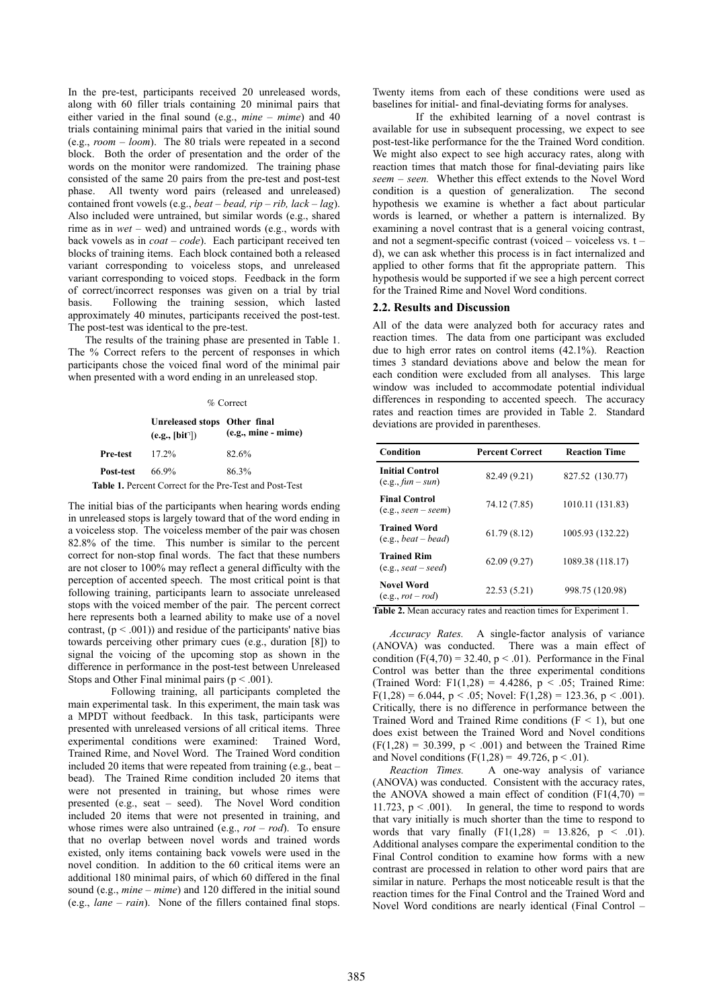In the pre-test, participants received 20 unreleased words, along with 60 filler trials containing 20 minimal pairs that either varied in the final sound (e.g., *mine – mime*) and 40 trials containing minimal pairs that varied in the initial sound (e.g., *room – loom*). The 80 trials were repeated in a second block. Both the order of presentation and the order of the words on the monitor were randomized. The training phase consisted of the same 20 pairs from the pre-test and post-test phase. All twenty word pairs (released and unreleased) contained front vowels (e.g., *beat – bead, rip – rib, lack – lag*). Also included were untrained, but similar words (e.g., shared rime as in *wet –* wed) and untrained words (e.g., words with back vowels as in *coat – code*). Each participant received ten blocks of training items. Each block contained both a released variant corresponding to voiceless stops, and unreleased variant corresponding to voiced stops. Feedback in the form of correct/incorrect responses was given on a trial by trial basis. Following the training session, which lasted approximately 40 minutes, participants received the post-test. The post-test was identical to the pre-test.

The results of the training phase are presented in Table 1. The % Correct refers to the percent of responses in which participants chose the voiced final word of the minimal pair when presented with a word ending in an unreleased stop.

#### % Correct

|           | Unreleased stops Other final<br>(e.g., [bit']) | $(e.g., mine - mine)$                                          |  |
|-----------|------------------------------------------------|----------------------------------------------------------------|--|
| Pre-test  | $17.2\%$                                       | 82.6%                                                          |  |
| Post-test | 66.9%                                          | 86.3%                                                          |  |
|           |                                                | <b>Table 1.</b> Percent Correct for the Pre-Test and Post-Test |  |

The initial bias of the participants when hearing words ending in unreleased stops is largely toward that of the word ending in a voiceless stop. The voiceless member of the pair was chosen 82.8% of the time. This number is similar to the percent correct for non-stop final words. The fact that these numbers are not closer to 100% may reflect a general difficulty with the perception of accented speech. The most critical point is that following training, participants learn to associate unreleased stops with the voiced member of the pair. The percent correct here represents both a learned ability to make use of a novel contrast,  $(p < .001)$ ) and residue of the participants' native bias towards perceiving other primary cues (e.g., duration [8]) to signal the voicing of the upcoming stop as shown in the difference in performance in the post-test between Unreleased Stops and Other Final minimal pairs ( $p < .001$ ).

Following training, all participants completed the main experimental task. In this experiment, the main task was a MPDT without feedback. In this task, participants were presented with unreleased versions of all critical items. Three experimental conditions were examined: Trained Word, Trained Rime, and Novel Word. The Trained Word condition included 20 items that were repeated from training (e.g., beat – bead). The Trained Rime condition included 20 items that were not presented in training, but whose rimes were presented (e.g., seat – seed). The Novel Word condition included 20 items that were not presented in training, and whose rimes were also untrained (e.g., *rot – rod*). To ensure that no overlap between novel words and trained words existed, only items containing back vowels were used in the novel condition. In addition to the 60 critical items were an additional 180 minimal pairs, of which 60 differed in the final sound (e.g., *mine* – *mime*) and 120 differed in the initial sound (e.g., *lane – rain*). None of the fillers contained final stops. Twenty items from each of these conditions were used as baselines for initial- and final-deviating forms for analyses.

If the exhibited learning of a novel contrast is available for use in subsequent processing, we expect to see post-test-like performance for the the Trained Word condition. We might also expect to see high accuracy rates, along with reaction times that match those for final-deviating pairs like *seem – seen.* Whether this effect extends to the Novel Word condition is a question of generalization. The second hypothesis we examine is whether a fact about particular words is learned, or whether a pattern is internalized. By examining a novel contrast that is a general voicing contrast, and not a segment-specific contrast (voiced – voiceless vs. t – d), we can ask whether this process is in fact internalized and applied to other forms that fit the appropriate pattern. This hypothesis would be supported if we see a high percent correct for the Trained Rime and Novel Word conditions.

## **2.2. Results and Discussion**

All of the data were analyzed both for accuracy rates and reaction times. The data from one participant was excluded due to high error rates on control items (42.1%). Reaction times 3 standard deviations above and below the mean for each condition were excluded from all analyses. This large window was included to accommodate potential individual differences in responding to accented speech. The accuracy rates and reaction times are provided in Table 2. Standard deviations are provided in parentheses.

| Condition                                      | <b>Percent Correct</b> | <b>Reaction Time</b> |
|------------------------------------------------|------------------------|----------------------|
| <b>Initial Control</b><br>$(e.g., fun - sun))$ | 82.49 (9.21)           | 827.52 (130.77)      |
| <b>Final Control</b><br>$(e.g., seen-seem)$    | 74.12 (7.85)           | 1010.11 (131.83)     |
| <b>Trained Word</b><br>$(e.g., beat-bead)$     | 61.79(8.12)            | 1005.93 (132.22)     |
| <b>Trained Rim</b><br>$(e.g., seat - seed)$    | 62.09(9.27)            | 1089.38 (118.17)     |
| <b>Novel Word</b><br>$(e.g., rot-rod)$         | 22.53 (5.21)           | 998.75 (120.98)      |

**Table 2.** Mean accuracy rates and reaction times for Experiment 1.

*Accuracy Rates.* A single-factor analysis of variance (ANOVA) was conducted. There was a main effect of condition  $(F(4,70) = 32.40, p < .01)$ . Performance in the Final Control was better than the three experimental conditions (Trained Word: F1(1,28) = 4.4286,  $p \le 0.05$ ; Trained Rime:  $F(1,28) = 6.044$ ,  $p < .05$ ; Novel:  $F(1,28) = 123.36$ ,  $p < .001$ ). Critically, there is no difference in performance between the Trained Word and Trained Rime conditions ( $F < 1$ ), but one does exist between the Trained Word and Novel conditions  $(F(1,28) = 30.399, p < .001)$  and between the Trained Rime and Novel conditions (F(1,28) = 49.726, p < .01).

*Reaction Times.* A one-way analysis of variance (ANOVA) was conducted. Consistent with the accuracy rates, the ANOVA showed a main effect of condition  $(F1(4,70) =$ 11.723,  $p < .001$ ). In general, the time to respond to words that vary initially is much shorter than the time to respond to words that vary finally  $(F1(1,28) = 13.826, p < .01)$ . Additional analyses compare the experimental condition to the Final Control condition to examine how forms with a new contrast are processed in relation to other word pairs that are similar in nature. Perhaps the most noticeable result is that the reaction times for the Final Control and the Trained Word and Novel Word conditions are nearly identical (Final Control –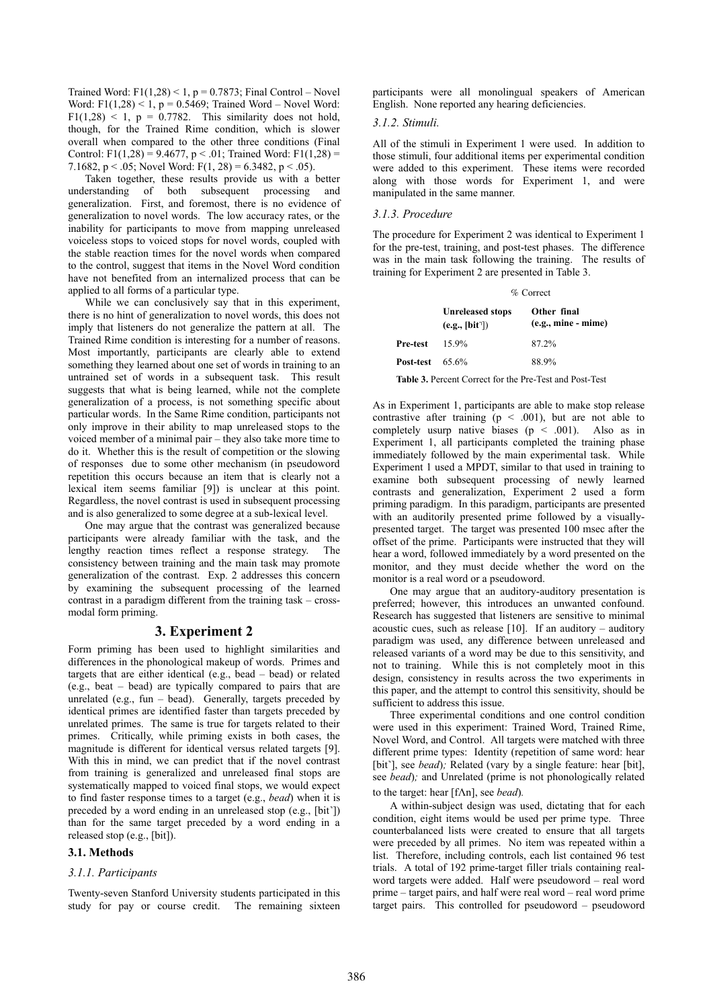Trained Word:  $F1(1,28) < 1$ ,  $p = 0.7873$ ; Final Control – Novel Word: F1(1,28) < 1, p =  $0.5469$ ; Trained Word – Novel Word: F1(1,28)  $\leq$  1, p = 0.7782. This similarity does not hold, though, for the Trained Rime condition, which is slower overall when compared to the other three conditions (Final Control: F1(1,28) = 9.4677, p < .01; Trained Word: F1(1,28) = 7.1682, p < .05; Novel Word: F(1, 28) = 6.3482, p < .05).

Taken together, these results provide us with a better understanding of both subsequent processing and generalization. First, and foremost, there is no evidence of generalization to novel words. The low accuracy rates, or the inability for participants to move from mapping unreleased voiceless stops to voiced stops for novel words, coupled with the stable reaction times for the novel words when compared to the control, suggest that items in the Novel Word condition have not benefited from an internalized process that can be applied to all forms of a particular type.

While we can conclusively say that in this experiment, there is no hint of generalization to novel words, this does not imply that listeners do not generalize the pattern at all. The Trained Rime condition is interesting for a number of reasons. Most importantly, participants are clearly able to extend something they learned about one set of words in training to an untrained set of words in a subsequent task. This result suggests that what is being learned, while not the complete generalization of a process, is not something specific about particular words. In the Same Rime condition, participants not only improve in their ability to map unreleased stops to the voiced member of a minimal pair – they also take more time to do it. Whether this is the result of competition or the slowing of responses due to some other mechanism (in pseudoword repetition this occurs because an item that is clearly not a lexical item seems familiar [9]) is unclear at this point. Regardless, the novel contrast is used in subsequent processing and is also generalized to some degree at a sub-lexical level.

One may argue that the contrast was generalized because participants were already familiar with the task, and the lengthy reaction times reflect a response strategy. The consistency between training and the main task may promote generalization of the contrast. Exp. 2 addresses this concern by examining the subsequent processing of the learned contrast in a paradigm different from the training task – crossmodal form priming.

### **3. Experiment 2**

Form priming has been used to highlight similarities and differences in the phonological makeup of words. Primes and targets that are either identical (e.g., bead – bead) or related (e.g., beat – bead) are typically compared to pairs that are unrelated (e.g.,  $fun - bead$ ). Generally, targets preceded by identical primes are identified faster than targets preceded by unrelated primes. The same is true for targets related to their primes. Critically, while priming exists in both cases, the magnitude is different for identical versus related targets [9]. With this in mind, we can predict that if the novel contrast from training is generalized and unreleased final stops are systematically mapped to voiced final stops, we would expect to find faster response times to a target (e.g., *bead*) when it is preceded by a word ending in an unreleased stop (e.g., [bit˺]) than for the same target preceded by a word ending in a released stop (e.g., [bit]).

### **3.1. Methods**

#### *3.1.1. Participants*

Twenty-seven Stanford University students participated in this study for pay or course credit. The remaining sixteen participants were all monolingual speakers of American English. None reported any hearing deficiencies.

#### *3.1.2. Stimuli.*

All of the stimuli in Experiment 1 were used. In addition to those stimuli, four additional items per experimental condition were added to this experiment. These items were recorded along with those words for Experiment 1, and were manipulated in the same manner.

#### *3.1.3. Procedure*

The procedure for Experiment 2 was identical to Experiment 1 for the pre-test, training, and post-test phases. The difference was in the main task following the training. The results of training for Experiment 2 are presented in Table 3.

#### % Correct

| <b>Unreleased stops</b><br>(e.g., [bit']) | Other final<br>$(e.g., mine - mine)$ |
|-------------------------------------------|--------------------------------------|
| 15.9%                                     | 87.2%                                |
| <b>Post-test</b> $65.6\%$                 | 88.9%                                |
|                                           |                                      |

**Table 3.** Percent Correct for the Pre-Test and Post-Test

As in Experiment 1, participants are able to make stop release contrastive after training  $(p < .001)$ , but are not able to completely usurp native biases  $(p \le .001)$ . Also as in Experiment 1, all participants completed the training phase immediately followed by the main experimental task. While Experiment 1 used a MPDT, similar to that used in training to examine both subsequent processing of newly learned contrasts and generalization, Experiment 2 used a form priming paradigm. In this paradigm, participants are presented with an auditorily presented prime followed by a visuallypresented target. The target was presented 100 msec after the offset of the prime. Participants were instructed that they will hear a word, followed immediately by a word presented on the monitor, and they must decide whether the word on the monitor is a real word or a pseudoword.

One may argue that an auditory-auditory presentation is preferred; however, this introduces an unwanted confound. Research has suggested that listeners are sensitive to minimal acoustic cues, such as release [10]. If an auditory – auditory paradigm was used, any difference between unreleased and released variants of a word may be due to this sensitivity, and not to training. While this is not completely moot in this design, consistency in results across the two experiments in this paper, and the attempt to control this sensitivity, should be sufficient to address this issue.

Three experimental conditions and one control condition were used in this experiment: Trained Word, Trained Rime, Novel Word, and Control. All targets were matched with three different prime types: Identity (repetition of same word: hear [bit], see *bead*); Related (vary by a single feature: hear [bit], see *bead*)*;* and Unrelated (prime is not phonologically related to the target: hear [f $\Lambda$ n], see *bead*).

A within-subject design was used, dictating that for each condition, eight items would be used per prime type. Three counterbalanced lists were created to ensure that all targets were preceded by all primes. No item was repeated within a list. Therefore, including controls, each list contained 96 test trials. A total of 192 prime-target filler trials containing realword targets were added. Half were pseudoword – real word prime – target pairs, and half were real word – real word prime target pairs. This controlled for pseudoword – pseudoword